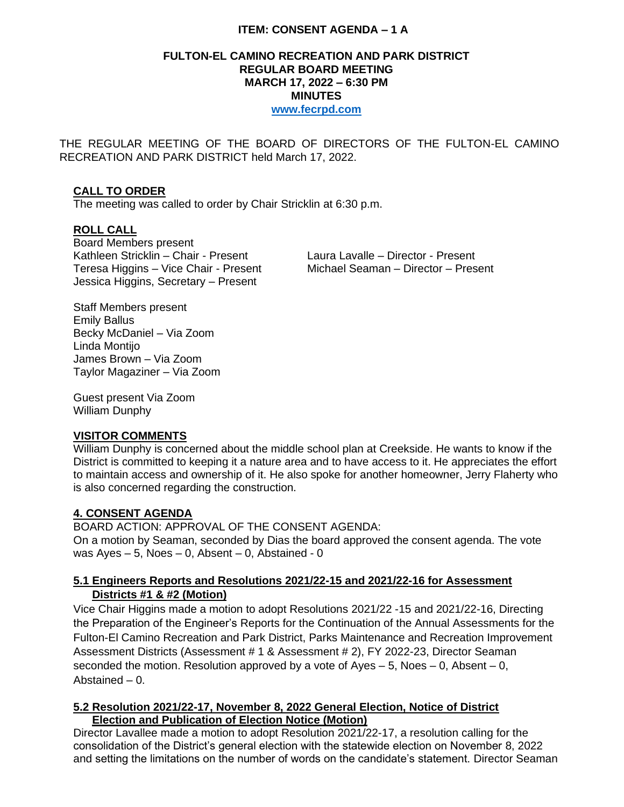## **ITEM: CONSENT AGENDA – 1 A**

#### **FULTON-EL CAMINO RECREATION AND PARK DISTRICT REGULAR BOARD MEETING MARCH 17, 2022 – 6:30 PM MINUTES [www.fecrpd.com](http://www.fecrpd.com/)**

THE REGULAR MEETING OF THE BOARD OF DIRECTORS OF THE FULTON-EL CAMINO RECREATION AND PARK DISTRICT held March 17, 2022.

## **CALL TO ORDER**

The meeting was called to order by Chair Stricklin at 6:30 p.m.

### **ROLL CALL**

Board Members present Kathleen Stricklin – Chair - Present Laura Lavalle – Director - Present Teresa Higgins – Vice Chair - Present Michael Seaman – Director – Present Jessica Higgins, Secretary – Present

Staff Members present Emily Ballus Becky McDaniel – Via Zoom Linda Montijo James Brown – Via Zoom Taylor Magaziner – Via Zoom

Guest present Via Zoom William Dunphy

### **VISITOR COMMENTS**

William Dunphy is concerned about the middle school plan at Creekside. He wants to know if the District is committed to keeping it a nature area and to have access to it. He appreciates the effort to maintain access and ownership of it. He also spoke for another homeowner, Jerry Flaherty who is also concerned regarding the construction.

### **4. CONSENT AGENDA**

BOARD ACTION: APPROVAL OF THE CONSENT AGENDA: On a motion by Seaman, seconded by Dias the board approved the consent agenda. The vote was  $Ayes - 5$ , Noes  $- 0$ , Absent  $- 0$ , Abstained - 0

### **5.1 Engineers Reports and Resolutions 2021/22-15 and 2021/22-16 for Assessment Districts #1 & #2 (Motion)**

Vice Chair Higgins made a motion to adopt Resolutions 2021/22 -15 and 2021/22-16, Directing the Preparation of the Engineer's Reports for the Continuation of the Annual Assessments for the Fulton-El Camino Recreation and Park District, Parks Maintenance and Recreation Improvement Assessment Districts (Assessment # 1 & Assessment # 2), FY 2022-23, Director Seaman seconded the motion. Resolution approved by a vote of Ayes  $-5$ , Noes  $-0$ , Absent  $-0$ , Abstained – 0.

### **5.2 Resolution 2021/22-17, November 8, 2022 General Election, Notice of District Election and Publication of Election Notice (Motion)**

Director Lavallee made a motion to adopt Resolution 2021/22-17, a resolution calling for the consolidation of the District's general election with the statewide election on November 8, 2022 and setting the limitations on the number of words on the candidate's statement. Director Seaman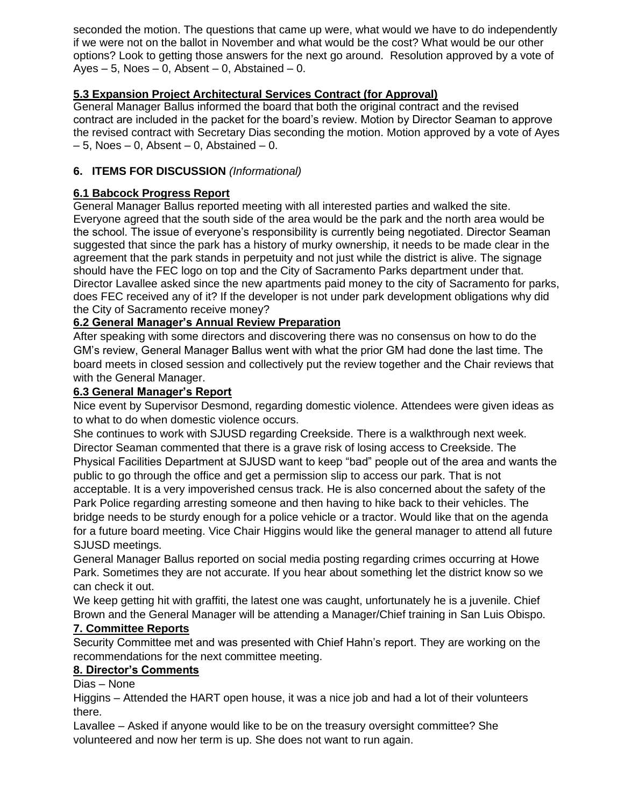seconded the motion. The questions that came up were, what would we have to do independently if we were not on the ballot in November and what would be the cost? What would be our other options? Look to getting those answers for the next go around. Resolution approved by a vote of Ayes  $-5$ , Noes  $-0$ , Absent  $-0$ , Abstained  $-0$ .

# **5.3 Expansion Project Architectural Services Contract (for Approval)**

General Manager Ballus informed the board that both the original contract and the revised contract are included in the packet for the board's review. Motion by Director Seaman to approve the revised contract with Secretary Dias seconding the motion. Motion approved by a vote of Ayes  $-5$ , Noes  $-0$ , Absent  $-0$ , Abstained  $-0$ .

## **6. ITEMS FOR DISCUSSION** *(Informational)*

# **6.1 Babcock Progress Report**

General Manager Ballus reported meeting with all interested parties and walked the site. Everyone agreed that the south side of the area would be the park and the north area would be the school. The issue of everyone's responsibility is currently being negotiated. Director Seaman suggested that since the park has a history of murky ownership, it needs to be made clear in the agreement that the park stands in perpetuity and not just while the district is alive. The signage should have the FEC logo on top and the City of Sacramento Parks department under that. Director Lavallee asked since the new apartments paid money to the city of Sacramento for parks, does FEC received any of it? If the developer is not under park development obligations why did the City of Sacramento receive money?

## **6.2 General Manager's Annual Review Preparation**

After speaking with some directors and discovering there was no consensus on how to do the GM's review, General Manager Ballus went with what the prior GM had done the last time. The board meets in closed session and collectively put the review together and the Chair reviews that with the General Manager.

### **6.3 General Manager's Report**

Nice event by Supervisor Desmond, regarding domestic violence. Attendees were given ideas as to what to do when domestic violence occurs.

She continues to work with SJUSD regarding Creekside. There is a walkthrough next week. Director Seaman commented that there is a grave risk of losing access to Creekside. The Physical Facilities Department at SJUSD want to keep "bad" people out of the area and wants the public to go through the office and get a permission slip to access our park. That is not acceptable. It is a very impoverished census track. He is also concerned about the safety of the Park Police regarding arresting someone and then having to hike back to their vehicles. The bridge needs to be sturdy enough for a police vehicle or a tractor. Would like that on the agenda for a future board meeting. Vice Chair Higgins would like the general manager to attend all future SJUSD meetings.

General Manager Ballus reported on social media posting regarding crimes occurring at Howe Park. Sometimes they are not accurate. If you hear about something let the district know so we can check it out.

We keep getting hit with graffiti, the latest one was caught, unfortunately he is a juvenile. Chief Brown and the General Manager will be attending a Manager/Chief training in San Luis Obispo.

### **7. Committee Reports**

Security Committee met and was presented with Chief Hahn's report. They are working on the recommendations for the next committee meeting.

### **8. Director's Comments**

Dias – None

Higgins – Attended the HART open house, it was a nice job and had a lot of their volunteers there.

Lavallee – Asked if anyone would like to be on the treasury oversight committee? She volunteered and now her term is up. She does not want to run again.